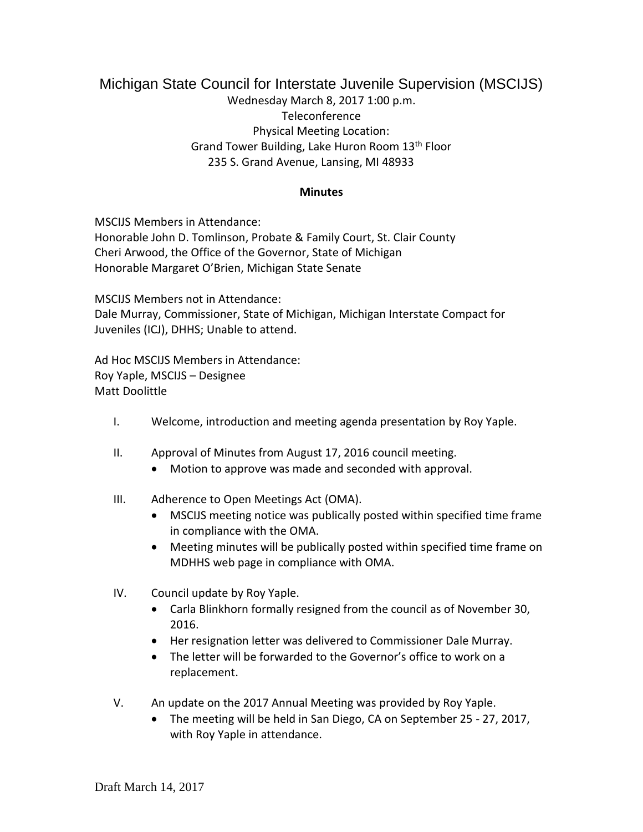## Michigan State Council for Interstate Juvenile Supervision (MSCIJS) Wednesday March 8, 2017 1:00 p.m. Teleconference Physical Meeting Location: Grand Tower Building, Lake Huron Room 13th Floor 235 S. Grand Avenue, Lansing, MI 48933

## **Minutes**

MSCIJS Members in Attendance: Honorable John D. Tomlinson, Probate & Family Court, St. Clair County Cheri Arwood, the Office of the Governor, State of Michigan Honorable Margaret O'Brien, Michigan State Senate

MSCIJS Members not in Attendance: Dale Murray, Commissioner, State of Michigan, Michigan Interstate Compact for Juveniles (ICJ), DHHS; Unable to attend.

Ad Hoc MSCIJS Members in Attendance: Roy Yaple, MSCIJS – Designee Matt Doolittle

- I. Welcome, introduction and meeting agenda presentation by Roy Yaple.
- II. Approval of Minutes from August 17, 2016 council meeting.
	- Motion to approve was made and seconded with approval.
- III. Adherence to Open Meetings Act (OMA).
	- MSCIJS meeting notice was publically posted within specified time frame in compliance with the OMA.
	- Meeting minutes will be publically posted within specified time frame on MDHHS web page in compliance with OMA.
- IV. Council update by Roy Yaple.
	- Carla Blinkhorn formally resigned from the council as of November 30, 2016.
	- Her resignation letter was delivered to Commissioner Dale Murray.
	- The letter will be forwarded to the Governor's office to work on a replacement.
- V. An update on the 2017 Annual Meeting was provided by Roy Yaple.
	- The meeting will be held in San Diego, CA on September 25 27, 2017, with Roy Yaple in attendance.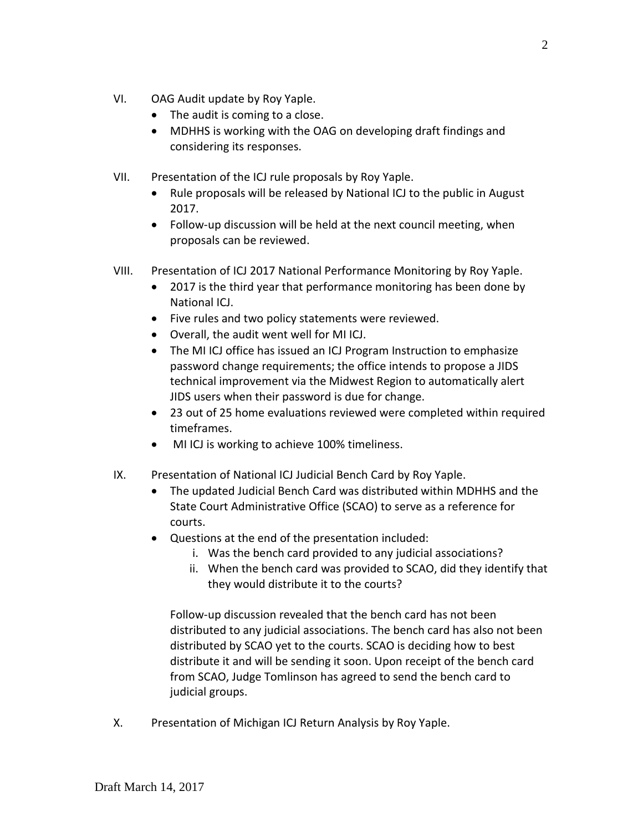- VI. OAG Audit update by Roy Yaple.
	- The audit is coming to a close.
	- MDHHS is working with the OAG on developing draft findings and considering its responses.
- VII. Presentation of the ICJ rule proposals by Roy Yaple.
	- Rule proposals will be released by National ICJ to the public in August 2017.
	- Follow-up discussion will be held at the next council meeting, when proposals can be reviewed.
- VIII. Presentation of ICJ 2017 National Performance Monitoring by Roy Yaple.
	- 2017 is the third year that performance monitoring has been done by National ICJ.
	- Five rules and two policy statements were reviewed.
	- Overall, the audit went well for MI ICJ.
	- The MI ICJ office has issued an ICJ Program Instruction to emphasize password change requirements; the office intends to propose a JIDS technical improvement via the Midwest Region to automatically alert JIDS users when their password is due for change.
	- 23 out of 25 home evaluations reviewed were completed within required timeframes.
	- MI ICJ is working to achieve 100% timeliness.
- IX. Presentation of National ICJ Judicial Bench Card by Roy Yaple.
	- The updated Judicial Bench Card was distributed within MDHHS and the State Court Administrative Office (SCAO) to serve as a reference for courts.
	- Questions at the end of the presentation included:
		- i. Was the bench card provided to any judicial associations?
		- ii. When the bench card was provided to SCAO, did they identify that they would distribute it to the courts?

Follow-up discussion revealed that the bench card has not been distributed to any judicial associations. The bench card has also not been distributed by SCAO yet to the courts. SCAO is deciding how to best distribute it and will be sending it soon. Upon receipt of the bench card from SCAO, Judge Tomlinson has agreed to send the bench card to judicial groups.

X. Presentation of Michigan ICJ Return Analysis by Roy Yaple.